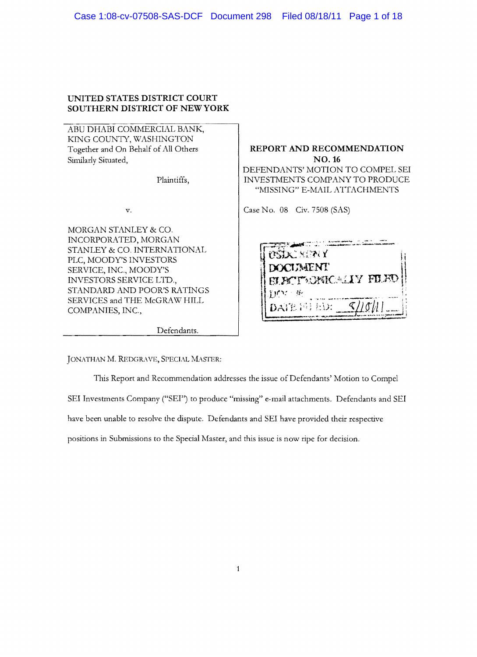# **UNITED STATES DISTRICT COURT SOUTHERN DISTRICT OF** NEW YORK

ABU DHABI COMMERCIAL BANK, KING COUNTY, WASHINGTON Together and On Behalf of All Others Similarly Situated,

Plaintiffs,

v.

MORGAN STANLEY & CO. INCORPORATED, MORGAN STANLEY & CO. INTERNATIONAL PLC, MOODY'S INVESTORS SERVICE, INC., MOODY'S INVESTORS SERVICE LTD., STANDARD AND POOR'S RATINGS SERVICES and THE McGRAW HILL COMPANIES, INC.,

Defendants.

**REPORT AND RECOMMENDATION**  NO. 16 DEFENDANTS' MOTION TO COMPEL SEI INVESTMENTS COMPANY TO PRODUCE "MISSING" E-MAIL ATTACHMENTS

Case No. 08 Civ. 7508 (SAS)

| <b>USDC MENY</b>                                |  |
|-------------------------------------------------|--|
| <b>DOCLEMENT</b><br><b>ELECTRONICALLY FILED</b> |  |
| 330 M                                           |  |
| $\zeta$ / $\zeta$ //<br>DATE 图 ED:              |  |

JONATHAN M. REDGRAVE, SPECIAL MASTER:

This Report and Recommendation addresses the issue of Defendants' Motion to Compel SEI Investments Company ("SEI'') to produce "missing" e-mail attachments. Defendants and SEI have been unable to resolve the dispute. Defendants and SEI have provided their respective positions in Submissions to the Special Master, and this issue is now ripe for decision.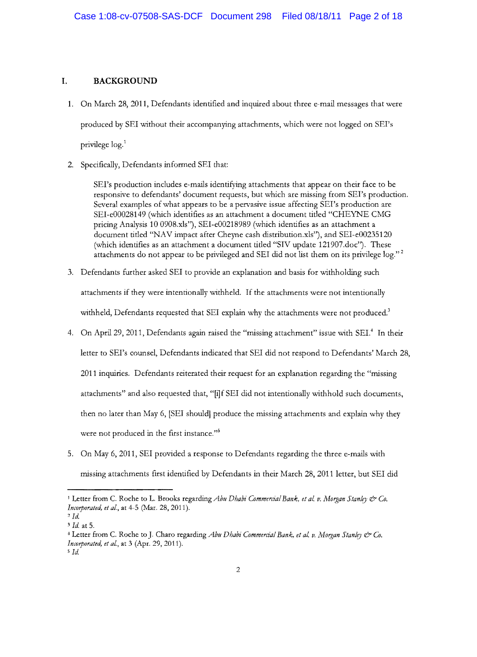## **I. BACKGROUND**

- 1. On March 28, 2011, Defendants identified and inquired about three e-mail messages that were produced by SEI without their accompanying attachments, which were not logged on SEI's privilege log.1
- 2. Specifically, Defendants informed SEI that:

SEI's production includes e-mails identifying attachments that appear on their face to be responsive to defendants' document requests, but which are missing from SET's production. Several examples of what appears to be a pervasive issue affecting SEI's production are SEI-e00028149 (which identifies as an attachment a document titled "CHEYNE CMG pricing Analysis 10 0908.xls"), SEI-e00218989 (which identifies as an attachment a document titled "NAV impact after Cheyne cash distribution.xls"), and SEI-e00235120 (which identifies as an attachment a document titled "SIV update 121907.doc"). These attachments do not appear to be privileged and SEI did not list them on its privilege log."<sup>2</sup>

- 3. Defendants further asked SEI to provide an explanation and basis for withholding such attachments if they were intentionally withheld. If the attachments were not intentionally withheld, Defendants requested that SEI explain why the attachments were not produced.<sup>3</sup>
- 4. On April 29, 2011, Defendants again raised the "missing attachment" issue with SEI.<sup>4</sup> In their letter to SET's counsel, Defendants indicated that SEI did not respond to Defendants' March 28, 2011 inquiries. Defendants reiterated their request for an explanation regarding the "missing attachments" and also requested that, "[i]f SEI did not intentionally withhold such documents, then no later than May 6, [SEI should] produce the missing attachments and explain why they were not produced in the first instance."<sup>5</sup>
- 5. On May 6, 2011, SEI provided a response to Defendants regarding the three e-mails with missing attachments first identified by Defendants in their March 28, 2011 letter, but SEI did

<sup>&</sup>lt;sup>1</sup> Letter from C. Roche to L. Brooks regarding *Abu Dhabi Commercial Bank, et al. v. Morgan Stanley & Co. Im'Otporated, et aI.,* at 4-5 (Mar. 28, 2011).

 $^{2}$ *Id.* 

<sup>3</sup>*Id.* at 5.

<sup>&</sup>lt;sup>4</sup> Letter from C. Roche to J. Charo regarding *Abu Dhabi Commercial Bank. et al. v. Morgan Stanley & Co. Incorporated, et al.*, at 3 (Apr. 29, 2011).

*<sup>5</sup> Id.*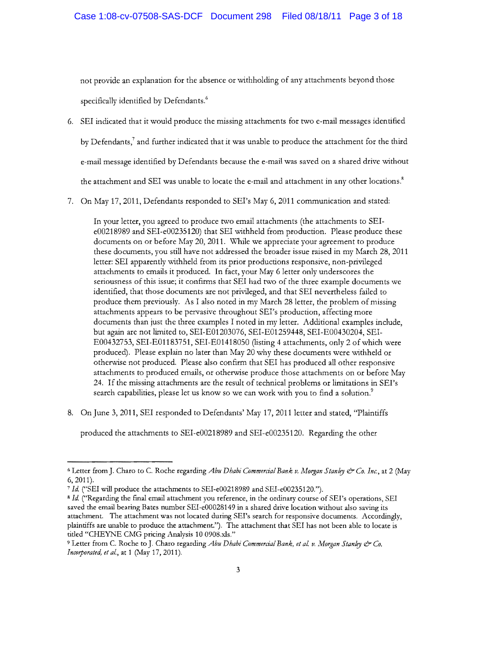not provide an explanation for the absence or withholding of any attachments beyond those specifically identified by Defendants.<sup>6</sup>

- 6. SEI indicated that it would produce the missing attachments for two e-mail messages identified by Defendants,<sup>7</sup> and further indicated that it was unable to produce the attachment for the third e-mail message identified by Defendants because the e-mail was saved on a shared drive without the attachment and SEI was unable to locate the e-mail and attachment in any other locations.<sup>8</sup>
- 7. On May 17,2011, Defendants responded to SET's May 6, 2011 communication and stated:

In your letter, you agreed to produce two email attachments (the attachments to SEIe00218989 and SEI-e00235120) that SEI withheld from production. Please produce these documents on or before May 20, 2011. While we appreciate your agreement to produce these documents, you still have not addressed the broader issue raised in my March 28, 2011 letter: SEI apparently withheld from its prior productions responsive, non-privileged attachments to emails it produced. In fact, your May 6 letter only underscores the seriousness of this issue; it confirms that SEI had two of the three example documents we identified, that those documents are not privileged, and that SEI nevertheless failed to produce them previously. As I also noted in my March 28 letter, the problem of missing attachments appears to be pervasive throughout SET's production, affecting more documents than just the three examples I noted in my letter. Additional examples include, but again are not limited to, SEI-E01203076, SEI-E01259448, SEI-E00430204, SEI-E00432753, SEI-EOl183751, SEI-E01418050 (listing 4 attachments, only 2 of which were produced). Please explain no later than May 20 why these documents were \'vithheld or otherwise not produced. Please also confirm that SEI has produced all other responsive attachments to produced emails, or otherwise produce those attachments on or before May 24. Ifthe missing attachments are the result of technical problems or limitations in SEI's search capabilities, please let us know so we can work with you to find a solution.<sup>9</sup>

8. On June 3, 2011, SEI responded to Defendants' May 17,2011 letter and stated, "Plaintiffs

produced the attachments to SEI-e00218989 and SEI-e00235120. Regarding the other

<sup>6</sup> Letter from J. Charo to C Roche regarding *Abu Dhabi Commercial Bank v. Morgan Stanlry* & *Co. Inc.,* at 2 (May 6,2011).

*<sup>7</sup>Id* ("SEI will produce the attachments to SEI-e00218989 and SEI-e00235120.").

<sup>&</sup>lt;sup>8</sup> Id. ("Regarding the final email attachment you reference, in the ordinary course of SEI's operations, SEI saved the email bearing Bates number SEI-e00028149 in a shared drive location without also saving its attachment. The attachment was not located during SEI's search for responsive documents. Accordingly, plaintiffs are unable to produce the attachment."). The attachment that SEI has not been able to locate is titled "CHEYNE CMG pricing Analysis 10 0908.xls."

<sup>&</sup>lt;sup>9</sup> Letter from C. Roche to J. Charo regarding *Abu Dhabi Commercial Bank, et al. v. Morgan Stanley & Co. Incorporated, et al., at 1 (May 17, 2011).*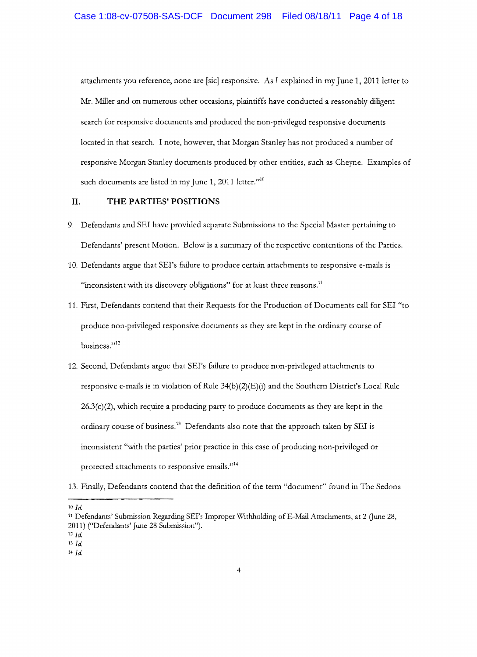attachments you reference, none are [sic] responsive. As I explained in my June 1, 2011 letter to Mr. Miller and on numerous other occasions, plaintiffs have conducted a reasonably diligent search for responsive documents and produced the non-privileged responsive documents located in that search. I note, however, that Morgan Stanley has not produced a number of responsive Morgan Stanley documents produced by other entities, such as Cheyne. Examples of such documents are listed in my June 1, 2011 letter." $10$ 

### **II. THE PARTIES' POSITIONS**

- 9. Defendants and SEI have provided separate Submissions to the Special Master pertaining to Defendants' present Motion. Below is a summary of the respective contentions of the Parties.
- 10. Defendants argue that SEI's failure to produce certain attachments to responsive e-mails is "inconsistent with its discovery obligations" for at least three reasons.<sup>11</sup>
- 11. First, Defendants contend that their Requests for the Production of Documents call for SEI "to produce non-privileged responsive documents as they are kept in the ordinary course of business."<sup>12</sup>
- 12. Second, Defendants argue that SEI's failure to produce non-privileged attachments to responsive e-mails is in violation of Rule  $34(b)(2)(E)(i)$  and the Southern District's Local Rule  $26.3(c)(2)$ , which require a producing party to produce documents as they are kept in the ordinary course of business.<sup>13</sup> Defendants also note that the approach taken by SEI is inconsistent "with the parties' prior practice in this case of producing non-privileged or protected attachments to responsive emails."<sup>14</sup>
- 13. Finally, Defendants contend that the definition of the term "document" found in The Sedona

<sup>10</sup>*Id* 

<sup>&</sup>lt;sup>11</sup> Defendants' Submission Regarding SEI's Improper Withholding of E-Mail Attachments, at 2 (June 28, 2011) ("Defendants' June 28 Submission").

 $12$  *Id.* 

*BId* 

<sup>14</sup> Id.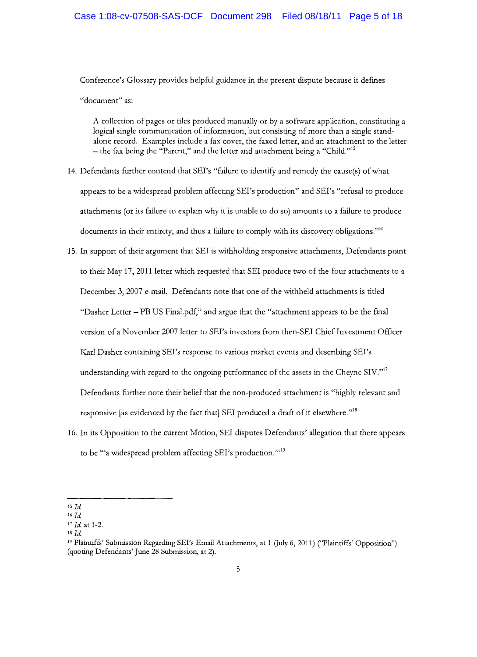Conference's Glossary provides helpful guidance in the present dispute because it defines "document" as:

A collection of pages or fIles produced manually or by a software application, constituting a logical single communication of information, but consisting of more than a single standalone record. Examples include a fax cover, the faxed letter, and an attachment to the letter  $t$  – the fax being the "Parent," and the letter and attachment being a "Child."<sup>15</sup>

- 14. Defendants further contend that SEI's "failure to identify and remedy the cause(s) of what appears to be a widespread problem affecting SEI's production" and SEI's "refusal to produce attachments (or its failure to explain why it is unable to do so) amounts to a failure to produce documents in their entirety, and thus a failure to comply with its discovery obligations."<sup>16</sup>
- 15. In support of their argument that SEI is withholding responsive attachments, Defendants point to their May 17, 2011 letter which requested that SEI produce two of the four attachments to a December 3, 2007 e-mail. Defendants note that one of the withheld attachments is titled "Dasher Letter - PB US Final.pdf," and argue that the "attachment appears to be the final version of a November 2007 letter to SEI's investors from then-SEI Chief Investment Officer Karl Dasher containing SEI's response to various market events and describing SEI's understanding with regard to the ongoing performance of the assets in the Cheyne SIV."<sup>17</sup> Defendants further note their belief that the non-produced attachment is "highly relevant and responsive [as evidenced by the fact that] SEI produced a draft of it elsewhere."<sup>18</sup>
- 16. In its Opposition to the current Motion, SEI disputes Defendants' allegation that there appears to be "'a widespread problem affecting SEI's production."<sup>19</sup>

 $15$   $Id.$ 

*<sup>16</sup>Jd.* 

*<sup>11</sup> Id.* at 1-2.

*<sup>18</sup>Id.* 

<sup>&</sup>lt;sup>19</sup> Plaintiffs' Submission Regarding SEI's Email Attachments, at 1 (July 6, 2011) ('Plaintiffs' Opposition'') (quoting Defendants' June 28 Submission, at 2).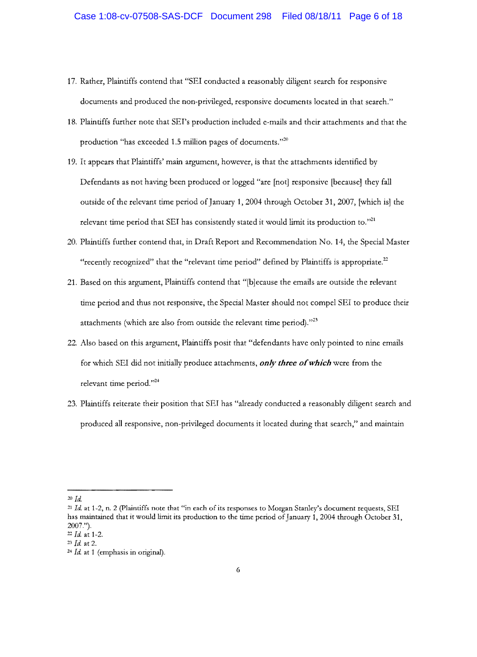- 17. Rather, Plaintiffs contend that "SEI conducted a reasonably diligent search for responsive documents and produced the non-privileged, responsive documents located in that search."
- 18. Plaintiffs further note that SET's production included e-mails and their attachments and that the production "has exceeded 1.5 million pages of documents." $20$
- 19. It appears that Plaintiffs' main argument, however, is that the attachments identified by Defendants as not having been produced or logged "are [not] responsive [because] they fall outside of the relevant time period of January 1, 2004 through October 31, 2007, [which is] the relevant time period that SEI has consistently stated it would limit its production to."<sup>21</sup>
- 20. Plaintiffs further contend that, in Draft Report and Recommendation No. 14, the Special Master "recently recognized" that the "relevant time period" defined by Plaintiffs is appropriate.<sup>22</sup>
- 21. Based on this argument, Plaintiffs contend that "[b]ecause the emails are outside the relevant time period and thus not responsive, the Special Master should not compel SEI to produce their attachments (which are also from outside the relevant time period)."<sup>23</sup>
- 22. Also based on this argument, Plaintiffs posit that "defendants have only pointed to nine emails for which SEI did not initially produce attachments, *only three of which* were from the relevant time period." $24$
- 23. Plaintiffs reiterate their position that SEI has "already conducted a reasonably diligent search and produced all responsive, non-privileged documents it located during that search," and maintain

*<sup>20</sup> Id.* 

*<sup>21</sup> Id.* at 1-2, n. 2 (plaintiffs note that "in each of its responses to Morgan Stanley's document requests, SEI has maintained that it would limit its production to the time period of January 1, 2004 through October 31, 2007.").

<sup>&</sup>lt;sup>22</sup> *Id.* at 1-2.

*<sup>23</sup> Id.* at 2.

*<sup>24</sup> Id.* at 1 (emphasis in original).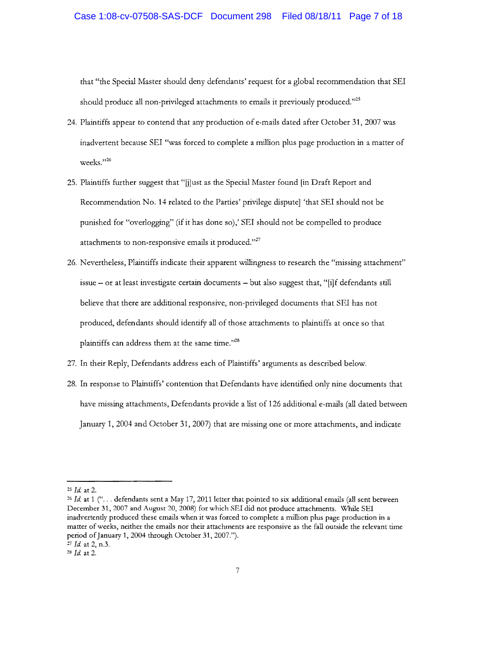that "the Special Master should deny defendants' request for a global recommendation that SEI should produce all non-privileged attachments to emails it previously produced."<sup>25</sup>

- 24. Plaintiffs appear to contend that any production of e-mails dated after October 31, 2007 was inadvertent because SEI "was forced to complete a million plus page production in a matter of weeks."26
- 25. Plaintiffs further suggest that "[j]ust as the Special Master found [in Draft Report and Recommendation No. 14 related to the Parties' privilege dispute] 'that SEI should not be punished for "overlogging" (if it has done so),' SEI should not be compelled to produce attachments to non-responsive emails it produced." $27$
- 26. Nevertheless, Plaintiffs indicate their apparent willingness to research the "missing attachment" issue - or at least investigate certain documents - but also suggest that, "[i]f defendants still believe that there are additional responsive, non-privileged documents that SEI has not produced, defendants should identify all of those attachments to plaintiffs at once so that plaintiffs can address them at the same time."<sup>28</sup>
- 27. In their Reply, Defendants address each of Plaintiffs' arguments as described below.
- 28. In response to Plaintiffs' contention that Defendants have identified only nine documents that have missing attachments, Defendants provide a list of 126 additional e-mails (all dated between January 1, 2004 and October 31, 2007) that are missing one or more attachments, and indicate

*<sup>25</sup>Id.* at 2.

<sup>&</sup>lt;sup>26</sup> Id. at 1 ("... defendants sent a May 17, 2011 letter that pointed to six additional emails (all sent between December 31, 2007 and August 20, *2008)* for which SRI did not produce attachments. \X'hile SRI inadvettendy produced these emails when it was forced to complete a million plus page production in a matter of weeks, neither the emails nor their attachments are responsive as the fall outside the relevant time period of January 1, 2004 through October 31, 2007."). <sup>27</sup>*Id.* at 2, n.3.

*<sup>28</sup>Id.* at 2.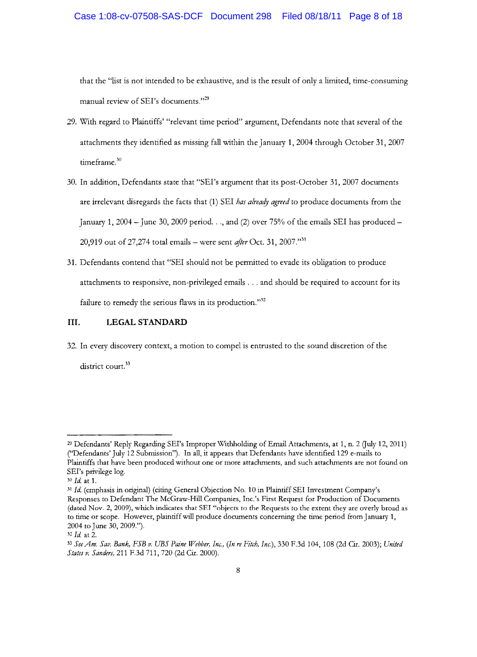that the "list is not intended to be exhaustive, and is the result of only a limited, time-consuming manual review of SEI's documents."<sup>29</sup>

- 29. With regard to Plaintiffs' "relevant time period" argument, Defendants note that several of the attachments they identified as missing fall within the January **1,2004** through October 31, 2007 timeframe.<sup>30</sup>
- 30. In addition, Defendants state that "SEI's argument that its post-October 31, 2007 documents are irrelevant disregards the facts that (1) SEI *has already agreed* to produce documents from the January 1, 2004 – June 30, 2009 period..., and (2) over 75% of the emails SEI has produced – 20,919 out of 27,274 total emails – were sent *after* Oct. 31, 2007."<sup>31</sup>
- 31. Defendants contend that "SEI should not be permitted to evade its obligation to produce attachments to responsive, non-privileged emails ... and should be required to account for its failure to remedy the serious flaws in its production."<sup>32</sup>

### **III.** LEGAL STANDARD

32. In every discovery context, a motion to compel is entrusted to the sound discretion of the district court.<sup>33</sup>

<sup>29</sup> Defendants' Reply Regarding SEI's Improper Withholding of Email Attachments, at 1, n. 2 Guly 12, 2011) ("Defendants' July 12 Submission"). In ail, it appears that Defendants have identified 129 e-mails to Plaintiffs that have been produced without one or more attachments, and such attachments are not found on SEI's privilege log.

*<sup>30</sup>Id.* at 1.

*<sup>31</sup>Id.* (emphasis in original) (citing General Objection No. 10 in Plaintiff SEI Investment Company's Responses to Defendant The McGraw-Hill Companies, Inc.'s First Request for Production of Documents (dated Nov. 2,2009), which indicates that SEl "objects to the Requests to the extent they are overly broad as to time or scope. However, plaintiff will produce documents concerning the time period from January 1, 2004 to June 30, 2009.").

<sup>32</sup> *Id.* at 2.

<sup>33</sup> *See Am. Sav. Bank, FSB v. UBS Paine Webber, Inc., (In re Fitch, Inc.),* 330 F.3d 104, 108 (2d Gr. 2003); *United States v. Sanden,* 211 F.3d 711, 720 (2d Cir. 2000).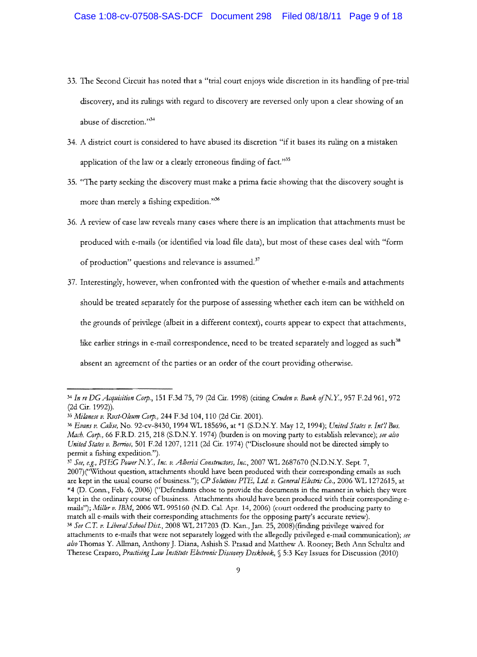- 33. The Second Circuit has noted that a "trial court enjoys \vide discretion in its handling of pre-trial discovery, and its rulings with regard to discovery are reversed only upon a clear showing of an abuse of discretion."34
- 34. A district court is considered to have abused its discretion "if it bases its ruling on a mistaken application of the law or a clearly erroneous finding of fact. $35$
- 35. "The party seeking the discovery must make a prima facie showing that the discovery sought is more than merely a fishing expedition."<sup>36</sup>
- 36. A review of case law reveals many cases where there is an implication that attachments must be produced with e-mails (or identified via load file data), but most of these cases deal with "form of production" questions and relevance is assumed. $37$
- 37. Interestingly, however, when confronted with the question of whether e-mails and attachments should be treated separately for the purpose of assessing whether each item can be withheld on the grounds of privilege (albeit in a different context), courts appear to expect that attachments, like earlier strings in e-mail correspondence, need to be treated separately and logged as such  $38$ absent an agreement of the parties or an order of the court providing otherwise.

<sup>37</sup>*See, e.g.• PSEG Power* N. Y, *Inc. v. A/bend Constmctors, Inc.,* 2007 W'L 2687670 (N.D.N.Y. Sept. 7,

2007)("Without question, attachments should have been produced with their corresponding emails as such are kept in the usual course of business."); *CP Solutions* PIE, *Ltd. v. General Electric Co.,* 2006 \X'L 1272615, at \*4 (D. Conn., Feb. 6, 2006) ("Defendants chose to provide the documents in the manner in which they were kept in the ordinary course of business. Attachments should have been produced with theit corresponding emails"); *Milkr v. IBM*, 2006 WL 995160 (N.D. Cal. Apr. 14, 2006) (court ordered the producing party to match all e-mails with their corresponding attachments for the opposing party's accurate review). <sup>38</sup>*See CT. v. Lbera/ School Dist.,* 2008 W'L 217203 (D. Kan.,]an. 25, 2008) (fmding privilege waived for attachments to e-mails that were not separately logged with the allegedly privileged e-mail communication); see also Thomas Y. Allman, Anthony J. Diana, Ashish S. Prasad and Matthew A. Rooney; Beth Ann Schultz and Therese Craparo, *Practising Law Institute Electronic Discovery Deskbook*, § 5:3 Key Issues for Discussion (2010)

<sup>34</sup>*In re* DG *AcquiJition Corp.,* 151 F.3d 75, 79 (2d Gr. 1998) (citing *Cmden v. Bank ofN.Y,* 957 F.2d 961, 972 (2d Cit. 1992)).

*<sup>35</sup> Milanese v. Rust-Oleum Corp.,* 244 F.3d 104,110 (2d Cit. 2001).

*<sup>36</sup> Evans v. Calise,* No. 92-cv-8430, 1994 \X1L 185696, at \*1 (S.D.NY May 12, 1994); *United States v. Int'l Bus. Mach. Corp.,* 66 F.R.D. 215, 218 (S.D.N.Y. 1974) (burden is on moving party to establish relevance); *see also United States v. Berrios.* 501 F.2d 1207, 1211 (2d Cir. 1974) ("Disclosure should not be directed simply to permit a fishing expedition.").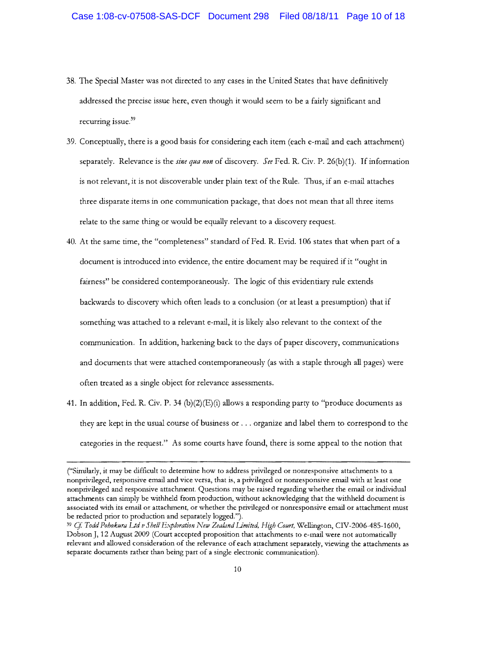- 38. The Special Master was not directed to any cases in the United States that have definitively addressed the precise issue here, even though it would seem to be a fairly significant and recurring issue.<sup>39</sup>
- 39. Conceptually, there is a good basis for considering each item (each e-mail and each attachment) separately. Relevance is the *sine qua non* of discovery. *See* Fed. R. Civ. P. 26(b)(1). If information is not relevant, it is not discoverable under plain text of the Rule. Thus, if an e-mail attaches three disparate items in one communication package, that does not mean that all three items relate to the same thing or would be equally relevant to a discovery request.
- 40. At the same time, the "completeness" standard of Fed. R. Evid. 106 states that when part of a document is introduced into evidence, the entire document may be required if it "ought in fairness" be considered contemporaneously. The logic of this evidentiary rule extends backwards to discovery which often leads to a conclusion (or at least a presumption) that if something was attached to a relevant e-mail, it is likely also relevant to the context of the communication. In addition, harkening back to the days of paper discovery, communications and documents that were attached contemporaneously (as with a staple through all pages) were often treated as a single object for relevance assessments.
- 41. In addition, Fed. R. Civ. P. 34 (b)(2)(E)(i) allows a responding party to "produce documents as they are kept in the usual course of business or ... organize and label them to correspond to the categories in the request." As some courts have found, there is some appeal to the notion that

<sup>(&</sup>quot;Similarly, it may be difficult to determine how to address privileged or nonresponsive attachments to a nonprivileged, responsive email and vice versa, that is, a privileged or nonresponsive email with at least one nonprivileged and responsive attachment. Questions may be raised regarding whether the email or individual attachments can simply be withheld from production, without acknowledging that the withheld document is associated with its email or attachment, or whether the privileged or nonresponsive email or attachment must be redacted prior to production and separately logged.").

<sup>&</sup>lt;sup>39</sup> Cf. Todd Pohokura Ltd v Shell Exploration New Zealand Limited, High Court, Wellington, CIV-2006-485-1600, Dobson], 12 August 2009 (Court accepted proposition that attachments to e-mail were not automatically relevant and allowed consideration of the relevance of each attachment separately, viewing the attachments as separate documents rather than being part of a single electronic communication).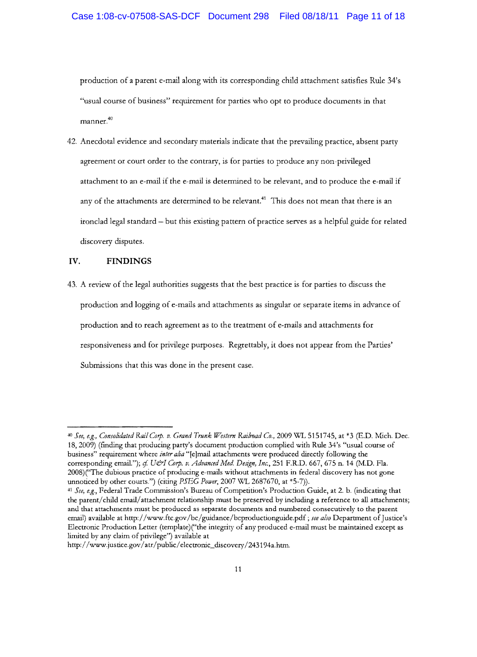production of a parent e-mail along with its corresponding child attachment satisfies Rule 34's "usual course of business" requirement for parties who opt to produce documents in that manner.<sup>40</sup>

42. Anecdotal evidence and secondary materials indicate that the prevailing practice, absent party agteement or court order to the contrary, is for parties to produce any non-privileged attachment to an e-mail if the e-mail is determined to be relevant, and to produce the e-mail if any of the attachments are determined to be relevant.<sup>41</sup> This does not mean that there is an ironclad legal standard - but this existing pattern of practice serves as a helpful guide for related discovery disputes.

## **IV. FINDINGS**

43. A review of the legal authorities suggests that the best practice is for parties to discuss the production and logging of e-mails and attachments as singular or separate items in advance of production and to reach agreement as to the treatment of e-mails and attachments for responsiveness and for privilege purposes. Regtettably, it does not appear from the Parties' Submissions that *this* was done in the present case.

<sup>&</sup>lt;sup>40</sup> See, e.g., Consolidated Rail Corp. v. Grand Trunk Western Railroad Co., 2009 WL 5151745, at \*3 (E.D. Mich. Dec. 18,2009) (ftnding that producing party's document production complied with Rule 34's "usual course of business" requirement where *inter alia* "[e]mail attachments were produced directly following the corresponding email."); cf. U&I Corp. v. Advanced Med. Design, Inc., 251 F.R.D. 667, 675 n. 14 (M.D. Fla. 2008)("The dubious practice of producing e-mails without attachments in federal discovery has not gone unnoticed by other courts.") (citing *PSEG Power*, 2007 WL 2687670, at \*5-7)).

*<sup>41</sup> See, e.g.,* Federal Trade Commission's Bureau of Competition's Production Guide, at 2. b. (indicating that the parent/child email/attachment relationship must be preserved by including a reference to all attachments; and that attaclunents must be produced as separate documents and numbered consecutively to the parent email) available at http://www.ftc.gov/bc/guidance/bcproductionguide.pdf ; see also Department of Justice's Electronic Production Letter (template)("the integrity of any produced e-mail must be maintained except as limited by any claim of privilege") available at

http://www.justice.gov/atr/public/electronic\_discovery/243194a.htm.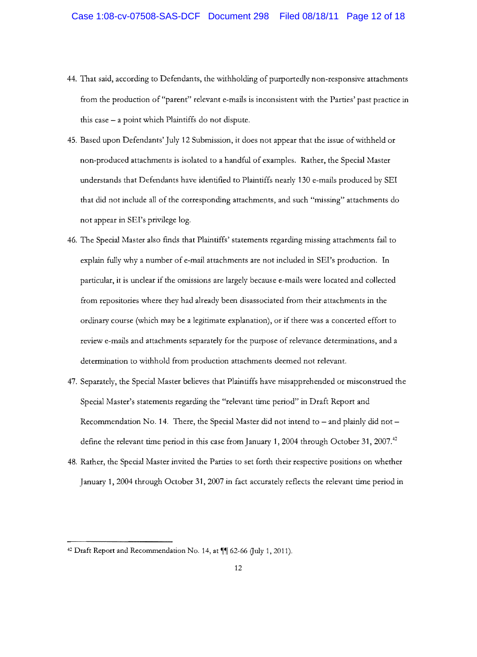- 44. That said, according to Defendants, the withholding of purportedly non-responsive attachments from the production of "parent" relevant e-mails is inconsistent with the Parties' past practice in this case - a point which Plaintiffs do not dispute.
- 45. Based upon Defendants' July 12 Submission, it does not appear that the issue of withheld or non-produced attachments is isolated to a handful of examples. Rather, the Special Master understands that Defendants have identified to Plaintiffs nearly 130 e-mails produced by SEI that did not include all of the corresponding attachments, and such "missing" attachments do not appear in SEI's privilege log.
- 46. The Special Master also finds that Plaintiffs' statements regarding missing attachments fail to explain fully why a number of e-mail attachments are not included in SEI's production. In particular, it is unclear if the omissions are largely because e-mails were located and collected from repositories where they had already been disassociated from their attachments in the ordinary course (which may be a legitimate explanation), or if there was a concerted effort to review e-mails and attachments separately for the purpose of relevance determinations, and a determination to withhold from production attachments deemed not relevant.
- 47. Separately, the Special Master believes that Plaintiffs have misapprehended or misconstrued the Special Master's statements regarding the "relevant time period" in Draft Report and Recommendation No. 14. There, the Special Master did not intend to  $-$  and plainly did not  $$ define the relevant time period in this case from January 1, 2004 through October 31, 2007.<sup>42</sup>
- 48. Rather, the Special Master invited the Parties to set forth their respective positions on whether January 1,2004 through October 31, 2007 in fact accurately reflects the relevant time period in

 $42$  Draft Report and Recommendation No. 14, at  $\P$  $[$  62-66 (July 1, 2011).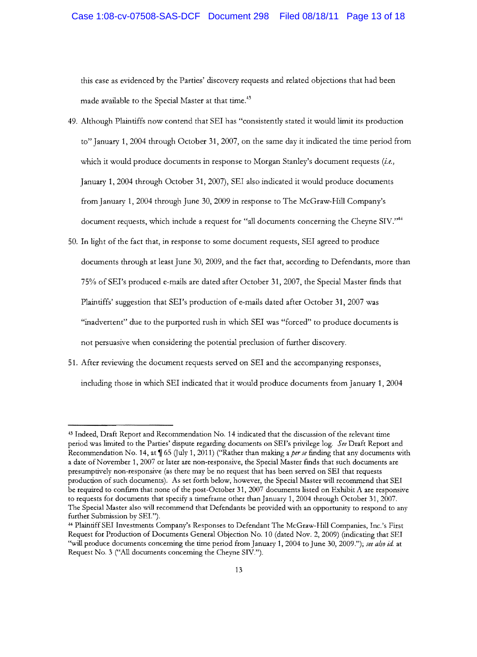this case as evidenced by the Parties' discovery requests and related objections that had been made available to the Special Master at that time.<sup>43</sup>

- 49. Although Plaintiffs now contend that SEI has "consistently stated it would limit its production to" January 1,2004 through October 31, 2007, on the same day it indicated the time period from which it would produce documents in response to Morgan Stanley's document requests *(i.e.,*  January 1,2004 through October 31, 2007), SET also indicated it would produce documents from January 1,2004 through June 30,2009 in response to The McGraw-Hill Company's document requests, which include a request for "all documents concerning the Cheyne SIV."<sup>44</sup>
- 50. In light of the fact that, in response to some document requests, SEI agreed to produce documents through at least June 30, 2009, and the fact that, according to Defendants, more than 75% of SEI's produced e-mails are dated after October 31, 2007, the Special Master ftnds that Plaintiffs' suggestion that SEI's production of e-mails dated after October 31, 2007 was "inadvertent" due to the purported rush in which SEI was "forced" to produce documents is not persuasive when considering the potential preclusion of further discovery.
- 51. After reviewing the document requests served on SEI and the accompanying responses, including those in which SEI indicated that it would produce documents from January 1,2004

<sup>43</sup> Indeed, Draft Report and Recommendation No. 14 indicated that the discussion of the relevant time period was limited to the Parties' dispute regarding documents on SEI's privilege log. *See* Draft Report and Recommendation No. 14, at  $\sqrt{165}$  (July 1, 2011) ("Rather than making a *per se* finding that any documents with a date of November 1, 2007 or later are non-responsive, the Special Master finds that such documents are presumptively non-responsive (as there may be no request that has been served on SEI that requests production of such documents). As set forth below, however, the Special Master will recommend that SEI be required to confirm that none of the post-October 31, 2007 documents listed on Exhibit A are responsive to requests for documents that specify a timeframe other than January 1,2004 through October 31, 2007. The Special Master also will recommend that Defendants be provided with an opportunity to respond to any further Submission by SEI.").

<sup>44</sup>Plaintiff SEI Investments Company's Responses to Defendant The McGraw-Hill Companies, lnc.'s First Request for Production of Documents General Objection No.1 0 (dated Nov. 2, 2009) (indicating that SEI "will produce documents concerning the time period from January 1, 2004 to June 30, 2009."); *see also id* at Request No.3 ("All documents concerning the Cheyne SlY").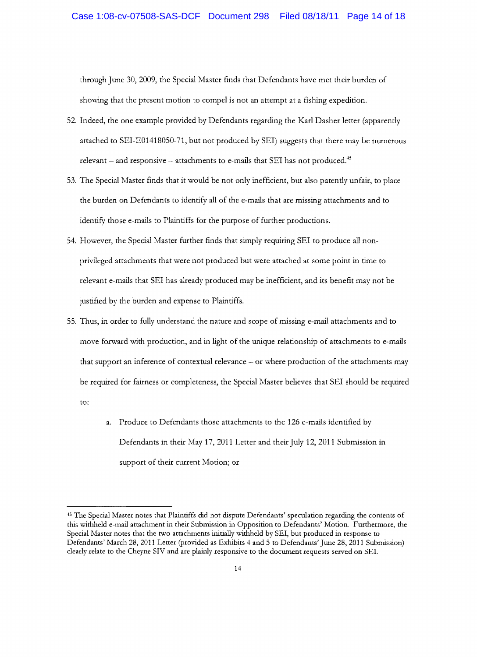through June 30, 2009, the Special Master finds that Defendants have met their burden of showing that the present motion to compel is not an attempt at a fishing expedition.

- 52. Indeed, the one example provided by Defendants regarding the Karl Dasher letter (apparently attached to SEI-E01418050-71, but not produced by SEI) suggests that there may be numerous relevant  $-$  and responsive  $-$  attachments to e-mails that SEI has not produced.<sup>45</sup>
- 53. The Special Master finds that it would be not only inefficient, but also patently unfair, to place the burden on Defendants to identify all of the e-mails that are missing attachments and to identify those e-mails to Plaintiffs for the purpose of further productions.
- 54. However, the Special Master further finds that simply requiring SEI to produce all nonprivileged attachments that were not produced but were attached at some point in time to relevant e-mails that SEI has already produced may be inefficient, and its benefit may not be justified by the burden and expense to Plaintiffs.
- 55. Thus, in order to fully understand the nature and scope of missing e-mail attachments and to move forward with production, and in light of the unique relationship of attachments to e-mails that support an inference of contextual relevance - or where production of the attachments may be required for fairness or completeness, the Special Master believes that SEI should be required to:
	- Produce to Defendants those attachments to the 126 e-mails identified by Defendants in their May 17, 2011 Letter and their July 12,2011 Submission in support of their current Motion; or

<sup>45</sup> The Special Master notes that Plaintiffs did not dispute Defendants' speculation regarding the contents of this withheld e-mail attachment in their Submission in Opposition to Defendants' Motion. Furthermore, the Special Master notes that the two attachments initially withheld by SEI, but produced in response to Defendants' March 28, 2011 Letter (provided as Exhibits 4 and 5 to Defendants' June 28, 2011 Submission) clearly relate to the Cheyne SIV and are plainly responsive to the document requests served on SEI.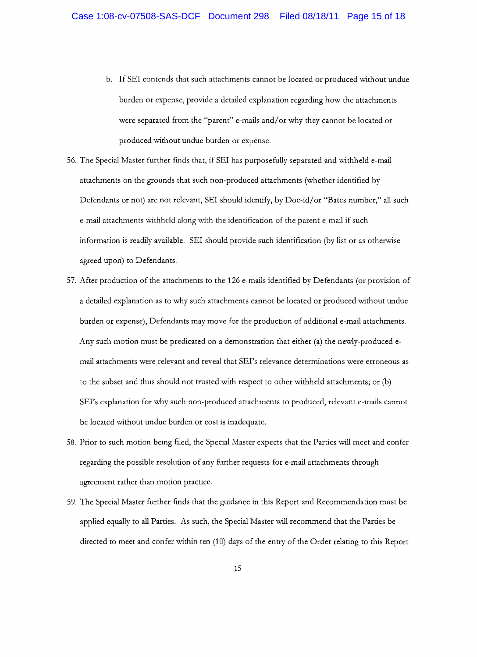- b. If SEI contends that such attachments cannot be located or produced without undue burden or expense, provide a detailed explanation regarding how the attachments were separated from the "parent" e-mails and/or why they cannot be located or produced without undue burden or expense.
- 56. The Special Master further finds that, if SEI has purposefully separated and withheld e-mail attachments on the grounds that such non-produced attachments (whether identified by Defendants or not) are not relevant, SEI should identify, by Doc-id/or "Bates number," all such e-mail attachments withheld along with the identification of the parent e-mail if such information is readily available. SEI should provide such identification (by list or as otherwise agreed upon) to Defendants.
- 57. After production of the attachments to the 126 e-mails identified by Defendants (or provision of a detailed explanation as to why such attachments cannot be located or produced without undue burden or expense), Defendants may move for the production of additional e-mail attachments. Any such motion must be predicated on a demonstration that either (a) the newly-produced email attachments were relevant and reveal that SEI's relevance determinations were erroneous as to the subset and thus should not trusted with respect to other withheld attachments; or (b) SEI's explanation for why such non-produced attachments to produced, relevant e-mails cannot be located without undue burden or cost is inadequate.
- 58. Prior to such motion being filed, the Special Master expects that the Parties will meet and confer regarding the possible resolution of any further requests for e-mail attachments through agreement rather than motion practice.
- 59. The Special Master further finds that the guidance in this Report and Recommendation must be applied equally to all Parties. As such, the Special Master will recommend that the Parties be directed to meet and confer within ten (10) days of the entry of the Order relating to this Report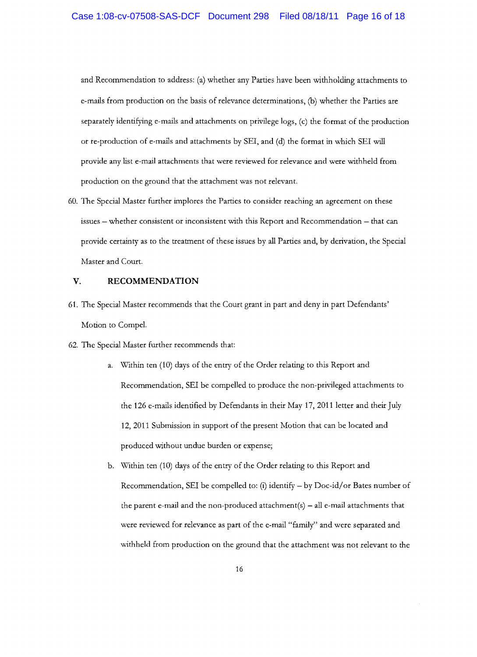and Recommendation to address: (a) whether any Parties have been withholding attachments to e-mails from production on the basis of relevance determinations, (b) whether the Parties are separately identifying e-mails and attachments on privilege logs, (c) the format of the production or re-production of e-mails and attachments by SEI, and (d) the format in which SEI will provide any list e-mail attachments that were reviewed for relevance and were withheld from production on the ground that the attachment was not relevant.

60. The Special Master further implores the Parties to consider reaching an agreement on these issues - whether consistent or inconsistent with this Report and Recommendation - that can provide certainty as to the treatment of these issues by all Parties and, by derivation, the Special Master and Court.

### V. **RECOMMENDATION**

- 61. The Special Master recommends that the Court grant in part and deny in part Defendants' Motion to Compel.
- 62. The Special Master further recommends that:
	- a. Within ten (10) days of the entry of the Order relating to this Report and Recommendation, SEI be compelled to produce the non-privileged attachments to the 126 e-mails identified by Defendants in their May 17, 2011 letter and their July 12,2011 Submission in support of the present Motion that can be located and produced without undue burden or expense;
	- b. Within ten (10) days of the entry of the Order relating to this Report and Recommendation, SEI be compelled to: (i) identify  $-$  by Doc-id/or Bates number of the parent e-mail and the non-produced attachment(s)  $-$  all e-mail attachments that were reviewed for relevance as part of the e-mail "family" and were separated and withheld from production on the ground that the attachment was not relevant to the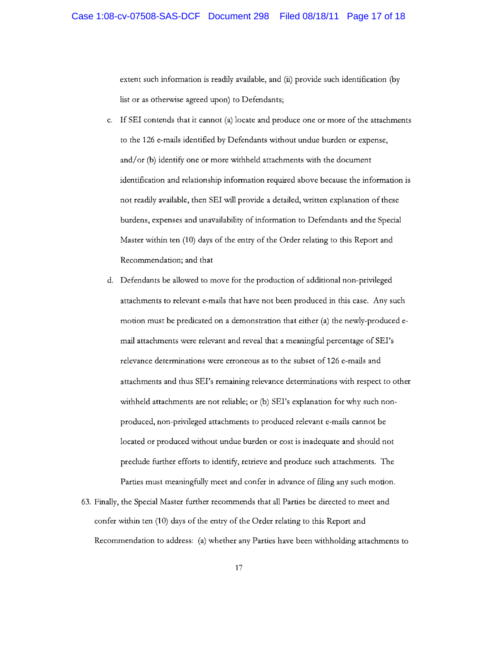extent such information is readily available, and (ii) provide such identification (by list or as otherwise agreed upon) to Defendants;

- c. If SEI contends that it cannot (a) locate and produce one or more of the attachments to the 126 e-mails identified by Defendants without undue burden or expense, and/or (b) identify one or more withheld attachments with the document identification and relationship information required above because the information is not readily available, then SEI will provide a detailed, written explanation of these burdens, expenses and unavailability of information to Defendants and the Special Master within ten (10) days of the entry of the Order relating to this Report and Recommendation; and that
- d. Defendants be allowed to move for the production of additional non-privileged attachments to relevant e-mails that have not been produced in this case. Any such motion must be predicated on a demonstration that either (a) the newly-produced email attachments were relevant and reveal that a meaningful percentage of SEI's relevance determinations were erroneous as to the subset of 126 e-mails and attachments and thus SEI's remaining relevance determinations with respect to other withheld attachments are not reliable; or (b) SEI's explanation for why such nonproduced, non-privileged attachments to produced relevant e-mails cannot be located or produced without undue burden or cost is inadequate and should not preclude further efforts to identify, retrieve and produce such attachments. The Parties must meaningfully meet and confer in advance of filing any such motion.
- 63. Finally, the Special Master further recommends that all Parties be directed to meet and confer within ten (10) days of the entry of the Order relating to this Report and Reconunendation to address: (a) whether any Parties have been withholding attachments to